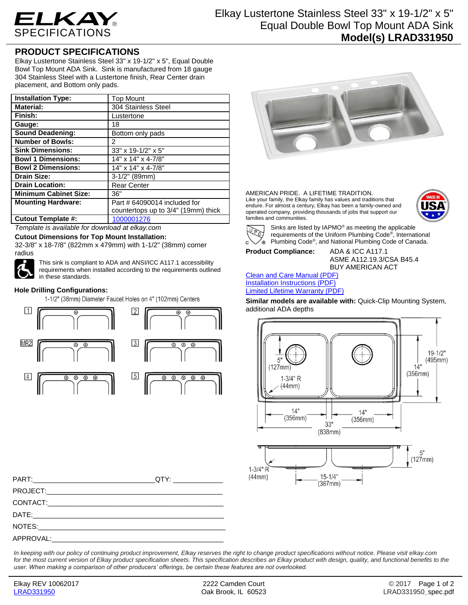

# **PRODUCT SPECIFICATIONS**

Elkay Lustertone Stainless Steel 33" x 19-1/2" x 5", Equal Double Bowl Top Mount ADA Sink. Sink is manufactured from 18 gauge 304 Stainless Steel with a Lustertone finish, Rear Center drain placement, and Bottom only pads.

| <b>Installation Type:</b>    | <b>Top Mount</b>                    |
|------------------------------|-------------------------------------|
| <b>Material:</b>             | 304 Stainless Steel                 |
| Finish:                      | Lustertone                          |
| Gauge:                       | 18                                  |
| <b>Sound Deadening:</b>      | Bottom only pads                    |
| <b>Number of Bowls:</b>      | 2                                   |
| <b>Sink Dimensions:</b>      | 33" x 19-1/2" x 5"                  |
| <b>Bowl 1 Dimensions:</b>    | 14" x 14" x 4-7/8"                  |
| <b>Bowl 2 Dimensions:</b>    | 14" x 14" x 4-7/8"                  |
| <b>Drain Size:</b>           | $3-1/2"$ (89mm)                     |
| <b>Drain Location:</b>       | <b>Rear Center</b>                  |
| <b>Minimum Cabinet Size:</b> | 36"                                 |
| <b>Mounting Hardware:</b>    | Part # 64090014 included for        |
|                              | countertops up to 3/4" (19mm) thick |
| <b>Cutout Template #:</b>    | 1000001276                          |

*Template is available for download at elkay.com*

**Cutout Dimensions for Top Mount Installation:** 32-3/8" x 18-7/8" (822mm x 479mm) with 1-1/2" (38mm) corner



This sink is compliant to ADA and ANSI/ICC A117.1 accessibility requirements when installed according to the requirements outlined in these standards.

## **Hole Drilling Configurations:**

1-1/2" (38mm) Diameter Faucet Holes on 4" (102mm) Centers





AMERICAN PRIDE. A LIFETIME TRADITION. Like your family, the Elkay family has values and traditions that endure. For almost a century, Elkay has been a family-owned and operated company, providing thousands of jobs that support our families and communities.





Sinks are listed by IAPMO® as meeting the applicable requirements of the Uniform Plumbing Code® , International Plumbing Code® , and National Plumbing Code of Canada.

**Product Compliance:** ADA & ICC A117.1

ASME A112.19.3/CSA B45.4 BUY AMERICAN ACT

#### Clean and Care Manual (PDF) Installation Instructions (PDF) Limited Lifetime Warranty (PDF)

**Similar models are available with:** Quick-Clip Mounting System, additional ADA depths



PART:\_\_\_\_\_\_\_\_\_\_\_\_\_\_\_\_\_\_\_\_\_\_\_\_\_\_\_\_\_\_\_\_QTY: \_\_\_\_\_\_\_\_\_\_\_\_\_ PROJECT: CONTACT:\_\_\_\_\_\_\_\_\_\_\_\_\_\_\_\_\_\_\_\_\_\_\_\_\_\_\_\_\_\_\_\_\_\_\_\_\_\_\_\_\_\_\_\_\_\_ DATE:\_\_\_\_\_\_\_\_\_\_\_\_\_\_\_\_\_\_\_\_\_\_\_\_\_\_\_\_\_\_\_\_\_\_\_\_\_\_\_\_\_\_\_\_\_\_\_\_\_\_ NOTES: APPROVAL:

*In keeping with our policy of continuing product improvement, Elkay reserves the right to change product specifications without notice. Please visit elkay.com*  for the most current version of Elkay product specification sheets. This specification describes an Elkay product with design, quality, and functional benefits to the *user. When making a comparison of other producers' offerings, be certain these features are not overlooked.*